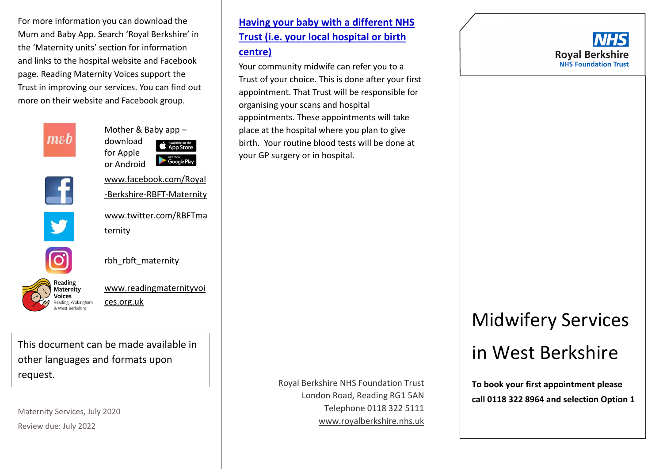For more information you can download the Mum and Baby App. Search 'Royal Berkshire' in the 'Maternity units' section for information and links to the hospital website and Facebook page. Reading Maternity Voices support the Trust in improving our services. You can find out more on their website and Facebook group.



Mother & Baby app – download **App Store** for Apple Google Play or Android



Y

[www.facebook.com/Royal](http://www.facebook.com/Royal-Berkshire-RBFT-Maternity) [-Berkshire-RBFT-Maternity](http://www.facebook.com/Royal-Berkshire-RBFT-Maternity)

[www.twitter.com/RBFTma](http://www.twitter.com/RBFTmaternity) [ternity](http://www.twitter.com/RBFTmaternity)



rbh\_rbft\_maternity



[www.readingmaternityvoi](http://www.readingmaternityvoices.org.uk/) [ces.org.uk](http://www.readingmaternityvoices.org.uk/)

This document can be made available in other languages and formats upon request.

Maternity Services, July 2020 Review due: July 2022

## **Trust (i.e. your local hospital or birth centre)**

**Having your baby with a different NHS** 

Your community midwife can refer you to a Trust of your choice. This is done after your first appointment. That Trust will be responsible for organising your scans and hospital appointments. These appointments will take place at the hospital where you plan to give birth. Your routine blood tests will be done at your GP surgery or in hospital.

> Royal Berkshire NHS Foundation Trust London Road, Reading RG1 5AN Telephone 0118 322 5111 [www.royalberkshire.nhs.uk](http://www.royalberkshire.nhs.uk/)



# Midwifery Services in West Berkshire

**To book your first appointment please call 0118 322 8964 and selection Option 1**